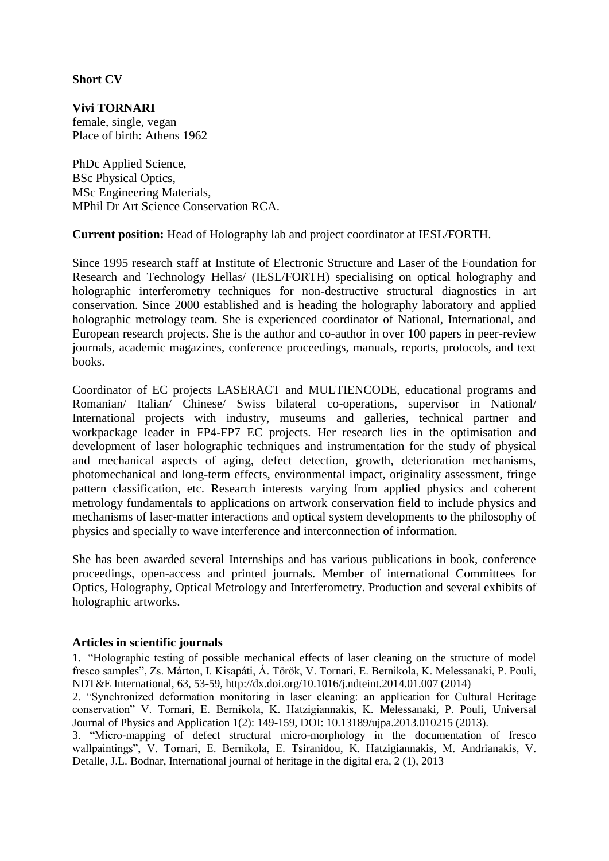## **Short CV**

**Vivi TORNARI** female, single, vegan Place of birth: Athens 1962

PhDc Applied Science, BSc Physical Optics, MSc Engineering Materials, MPhil Dr Art Science Conservation RCA.

**Current position:** Head of Holography lab and project coordinator at IESL/FORTH.

Since 1995 research staff at Institute of Electronic Structure and Laser of the Foundation for Research and Technology Hellas/ (IESL/FORTH) specialising on optical holography and holographic interferometry techniques for non-destructive structural diagnostics in art conservation. Since 2000 established and is heading the holography laboratory and applied holographic metrology team. She is experienced coordinator of National, International, and European research projects. She is the author and co-author in over 100 papers in peer-review journals, academic magazines, conference proceedings, manuals, reports, protocols, and text books.

Coordinator of EC projects LASERACT and MULTIENCODE, educational programs and Romanian/ Italian/ Chinese/ Swiss bilateral co-operations, supervisor in National/ International projects with industry, museums and galleries, technical partner and workpackage leader in FP4-FP7 EC projects. Her research lies in the optimisation and development of laser holographic techniques and instrumentation for the study of physical and mechanical aspects of aging, defect detection, growth, deterioration mechanisms, photomechanical and long-term effects, environmental impact, originality assessment, fringe pattern classification, etc. Research interests varying from applied physics and coherent metrology fundamentals to applications on artwork conservation field to include physics and mechanisms of laser-matter interactions and optical system developments to the philosophy of physics and specially to wave interference and interconnection of information.

She has been awarded several Internships and has various publications in book, conference proceedings, open-access and printed journals. Member of international Committees for Optics, Holography, Optical Metrology and Interferometry. Production and several exhibits of holographic artworks.

## **Articles in scientific journals**

1. "Holographic testing of possible mechanical effects of laser cleaning on the structure of model fresco samples", Zs. Márton, I. Kisapáti, Á. Török, V. Tornari, E. Bernikola, K. Melessanaki, P. Pouli, NDT&E International, 63, 53-59, http://dx.doi.org/10.1016/j.ndteint.2014.01.007 (2014)

2. "Synchronized deformation monitoring in laser cleaning: an application for Cultural Heritage conservation" V. Tornari, E. Bernikola, K. Hatzigiannakis, K. Melessanaki, P. Pouli, Universal Journal of Physics and Application 1(2): 149-159, DOI: 10.13189/ujpa.2013.010215 (2013).

3. "Micro-mapping of defect structural micro-morphology in the documentation of fresco wallpaintings", V. Tornari, E. Bernikola, E. Tsiranidou, K. Hatzigiannakis, M. Andrianakis, V. Detalle, J.L. Bodnar, International journal of heritage in the digital era, 2 (1), 2013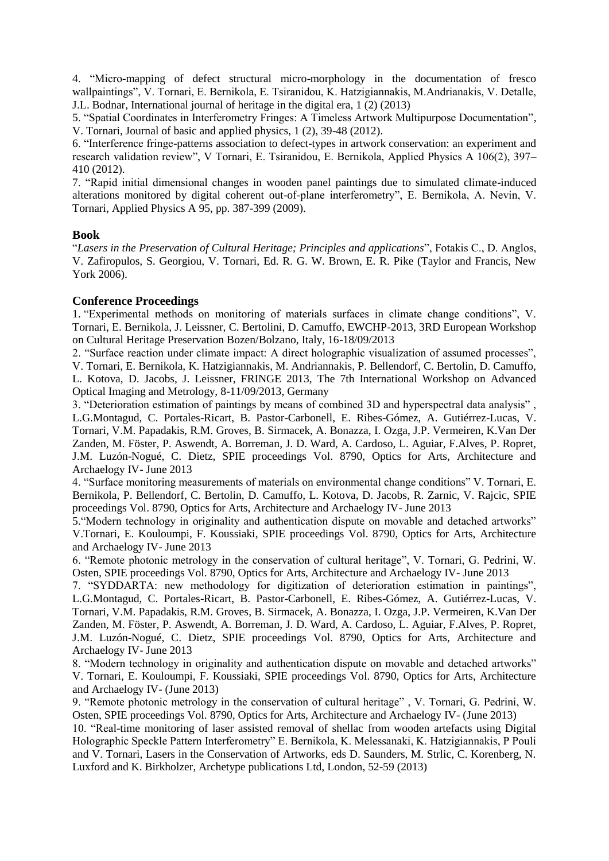4. "Micro-mapping of defect structural micro-morphology in the documentation of fresco wallpaintings", V. Tornari, E. Bernikola, E. Tsiranidou, K. Hatzigiannakis, M.Andrianakis, V. Detalle, J.L. Bodnar, International journal of heritage in the digital era, 1 (2) (2013)

5. "Spatial Coordinates in Interferometry Fringes: A Timeless Artwork Multipurpose Documentation", V. Tornari, Journal of basic and applied physics, 1 (2), 39-48 (2012).

6. "Interference fringe-patterns association to defect-types in artwork conservation: an experiment and research validation review", V Tornari, E. Tsiranidou, E. Bernikola, Applied Physics A 106(2), 397– 410 (2012).

7. "Rapid initial dimensional changes in wooden panel paintings due to simulated climate-induced alterations monitored by digital coherent out-of-plane interferometry", E. Bernikola, A. Nevin, V. Tornari, Applied Physics A 95, pp. 387-399 (2009).

## **Book**

"*Lasers in the Preservation of Cultural Heritage; Principles and applications*", Fotakis C., D. Anglos, V. Zafiropulos, S. Georgiou, V. Tornari, Ed. R. G. W. Brown, E. R. Pike (Taylor and Francis, New York 2006).

## **Conference Proceedings**

1. "Experimental methods on monitoring of materials surfaces in climate change conditions", V. Tornari, E. Bernikola, J. Leissner, C. Bertolini, D. Camuffo, EWCHP-2013, 3RD European Workshop on Cultural Heritage Preservation Bozen/Bolzano, Italy, 16-18/09/2013

2. "Surface reaction under climate impact: A direct holographic visualization of assumed processes", V. Tornari, E. Bernikola, K. Hatzigiannakis, M. Andriannakis, P. Bellendorf, C. Bertolin, D. Camuffo, L. Kotova, D. Jacobs, J. Leissner, FRINGE 2013, The 7th International Workshop on Advanced Optical Imaging and Metrology, 8-11/09/2013, Germany

3. "Deterioration estimation of paintings by means of combined 3D and hyperspectral data analysis" , L.G.Montagud, C. Portales-Ricart, B. Pastor-Carbonell, E. Ribes-Gómez, A. Gutiérrez-Lucas, V. Tornari, V.M. Papadakis, R.M. Groves, B. Sirmacek, A. Bonazza, I. Ozga, J.P. Vermeiren, K.Van Der Zanden, M. Föster, P. Aswendt, A. Borreman, J. D. Ward, A. Cardoso, L. Aguiar, F.Alves, P. Ropret, J.M. Luzón-Nogué, C. Dietz, SPIE proceedings Vol. 8790, Optics for Arts, Architecture and Archaelogy IV- June 2013

4. "Surface monitoring measurements of materials on environmental change conditions" V. Tornari, E. Bernikola, P. Bellendorf, C. Bertolin, D. Camuffo, L. Kotova, D. Jacobs, R. Zarnic, V. Rajcic, SPIE proceedings Vol. 8790, Optics for Arts, Architecture and Archaelogy IV- June 2013

5."Modern technology in originality and authentication dispute on movable and detached artworks" V.Tornari, E. Kouloumpi, F. Koussiaki, SPIE proceedings Vol. 8790, Optics for Arts, Architecture and Archaelogy IV- June 2013

6. "Remote photonic metrology in the conservation of cultural heritage", V. Tornari, G. Pedrini, W. Osten, SPIE proceedings Vol. 8790, Optics for Arts, Architecture and Archaelogy IV- June 2013

7. "SYDDARTA: new methodology for digitization of deterioration estimation in paintings", L.G.Montagud, C. Portales-Ricart, B. Pastor-Carbonell, E. Ribes-Gómez, A. Gutiérrez-Lucas, V. Tornari, V.M. Papadakis, R.M. Groves, B. Sirmacek, A. Bonazza, I. Ozga, J.P. Vermeiren, K.Van Der Zanden, M. Föster, P. Aswendt, A. Borreman, J. D. Ward, A. Cardoso, L. Aguiar, F.Alves, P. Ropret, J.M. Luzón-Nogué, C. Dietz, SPIE proceedings Vol. 8790, Optics for Arts, Architecture and Archaelogy IV- June 2013

8. "Modern technology in originality and authentication dispute on movable and detached artworks" V. Tornari, E. Kouloumpi, F. Koussiaki, SPIE proceedings Vol. 8790, Optics for Arts, Architecture and Archaelogy IV- (June 2013)

9. "Remote photonic metrology in the conservation of cultural heritage" , V. Tornari, G. Pedrini, W. Osten, SPIE proceedings Vol. 8790, Optics for Arts, Architecture and Archaelogy IV- (June 2013)

10. "Real-time monitoring of laser assisted removal of shellac from wooden artefacts using Digital Holographic Speckle Pattern Interferometry" E. Bernikola, K. Melessanaki, K. Hatzigiannakis, P Pouli and V. Tornari, Lasers in the Conservation of Artworks, eds D. Saunders, M. Strlic, C. Korenberg, N. Luxford and K. Birkholzer, Archetype publications Ltd, London, 52-59 (2013)